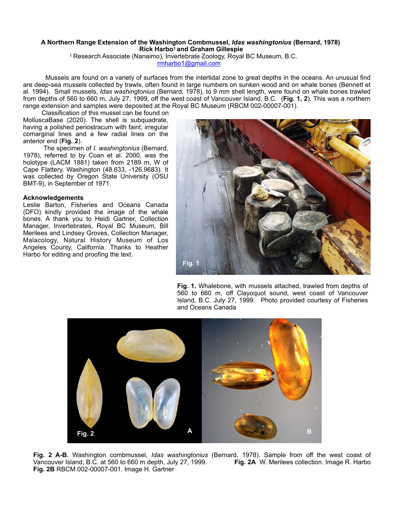## **A Northern Range Extension of the Washington Combmussel,** *Idas washingtonius* **(Bernard, 1978) Rick Harbo1 and Graham Gillespie**

1 Research Associate (Nanaimo), Invertebrate Zoology, Royal BC Museum, B.C.

[rmharbo1@gmail.com](mailto:rmharbo1@gmail.com)

 Mussels are found on a variety of surfaces from the intertidal zone to great depths in the oceans. An unusual find are deep-sea mussels collected by trawls, often found in large numbers on sunken wood and on whale bones (Bennett et al. 1994). Small mussels, *Idas washingtonius* (Bernard, 1978), to 9 mm shell length, were found on whale bones trawled from depths of 560 to 660 m, July 27, 1999, off the west coast of Vancouver Island, B.C. (**Fig. 1, 2**). This was a northern range extension and samples were deposited at the Royal BC Museum (RBCM 002-00007-001).

 Classification of this mussel can be found on MolluscaBase (2020). The shell is subquadrate, having a polished periostracum with faint, irregular comarginal lines and a few radial lines on the anterior end (**Fig. 2**).

 The specimen of *I. washingtonius* (Bernard, 1978), referred to by Coan et al. 2000, was the holotype (LACM 1881) taken from 2189 m, W of Cape Flattery, Washington (48.633, -126.9683). It was collected by Oregon State University (OSU BMT-9), in September of 1971.

## **Acknowledgements**

Leslie Barton, Fisheries and Oceans Canada (DFO) kindly provided the image of the whale bones. A thank you to Heidi Gartner, Collection Manager, Invertebrates, Royal BC Museum, Bill Merilees and Lindsey Groves, Collection Manager, Malacology, Natural History Museum of Los Angeles County, California. Thanks to Heather Harbo for editing and proofing the text.



**Fig. 1.** Whalebone, with mussels attached, trawled from depths of 560 to 660 m, off Clayoquot sound, west coast of Vancouver Island, B.C. July 27, 1999. Photo provided courtesy of Fisheries and Oceans Canada



**Fig. 2 A-B.** Washington combmussel, *Idas washingtonius* (Bernard, 1978). Sample from off the west coast of Vancouver Island, B.C. at 560 to 660 m depth, July 27, 1999. **Fig. 2B** RBCM 002-00007-001. Image H. Gartner